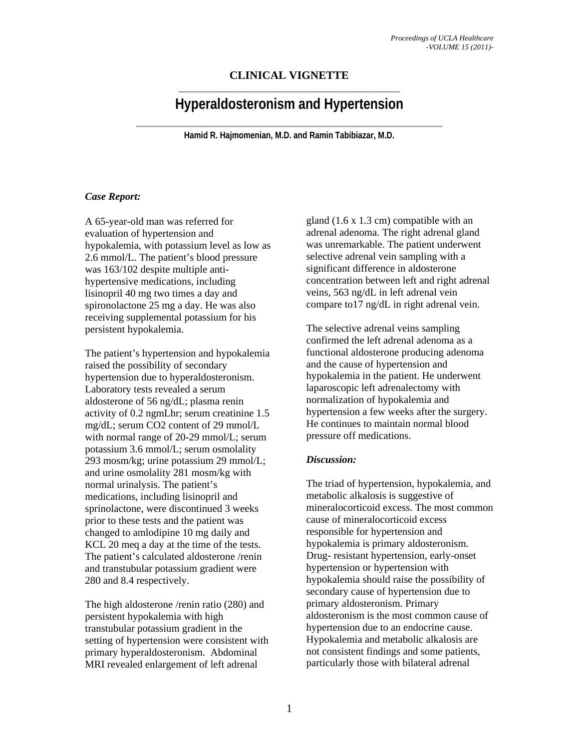## **CLINICAL VIGNETTE**

# **Hyperaldosteronism and Hypertension**

**Hamid R. Hajmomenian, M.D. and Ramin Tabibiazar, M.D.** 

### *Case Report:*

A 65-year-old man was referred for evaluation of hypertension and hypokalemia, with potassium level as low as 2.6 mmol/L. The patient's blood pressure was 163/102 despite multiple antihypertensive medications, including lisinopril 40 mg two times a day and spironolactone 25 mg a day. He was also receiving supplemental potassium for his persistent hypokalemia.

The patient's hypertension and hypokalemia raised the possibility of secondary hypertension due to hyperaldosteronism. Laboratory tests revealed a serum aldosterone of 56 ng/dL; plasma renin activity of 0.2 ngmLhr; serum creatinine 1.5 mg/dL; serum CO2 content of 29 mmol/L with normal range of 20-29 mmol/L; serum potassium 3.6 mmol/L; serum osmolality 293 mosm/kg; urine potassium 29 mmol/L; and urine osmolality 281 mosm/kg with normal urinalysis. The patient's medications, including lisinopril and sprinolactone, were discontinued 3 weeks prior to these tests and the patient was changed to amlodipine 10 mg daily and KCL 20 meq a day at the time of the tests. The patient's calculated aldosterone /renin and transtubular potassium gradient were 280 and 8.4 respectively.

The high aldosterone /renin ratio (280) and persistent hypokalemia with high transtubular potassium gradient in the setting of hypertension were consistent with primary hyperaldosteronism. Abdominal MRI revealed enlargement of left adrenal

gland (1.6 x 1.3 cm) compatible with an adrenal adenoma. The right adrenal gland was unremarkable. The patient underwent selective adrenal vein sampling with a significant difference in aldosterone concentration between left and right adrenal veins, 563 ng/dL in left adrenal vein compare to17 ng/dL in right adrenal vein.

The selective adrenal veins sampling confirmed the left adrenal adenoma as a functional aldosterone producing adenoma and the cause of hypertension and hypokalemia in the patient. He underwent laparoscopic left adrenalectomy with normalization of hypokalemia and hypertension a few weeks after the surgery. He continues to maintain normal blood pressure off medications.

### *Discussion:*

The triad of hypertension, hypokalemia, and metabolic alkalosis is suggestive of mineralocorticoid excess. The most common cause of mineralocorticoid excess responsible for hypertension and hypokalemia is primary aldosteronism. Drug- resistant hypertension, early-onset hypertension or hypertension with hypokalemia should raise the possibility of secondary cause of hypertension due to primary aldosteronism. Primary aldosteronism is the most common cause of hypertension due to an endocrine cause. Hypokalemia and metabolic alkalosis are not consistent findings and some patients, particularly those with bilateral adrenal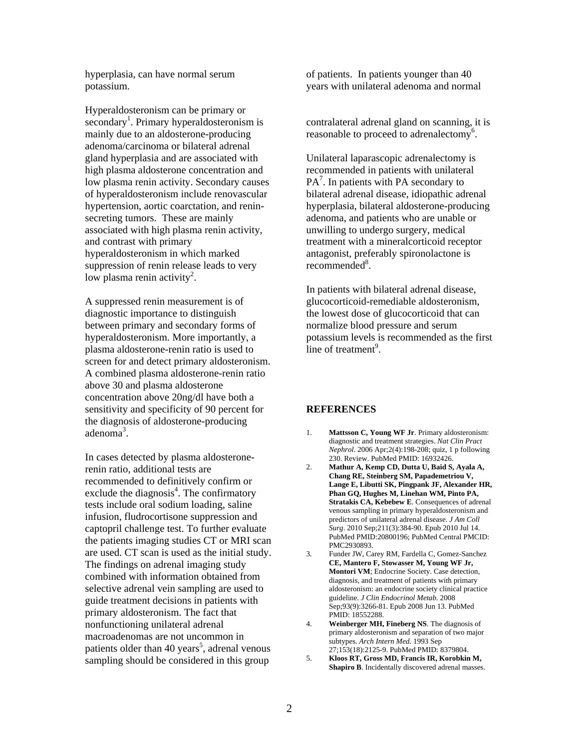hyperplasia, can have normal serum potassium.

Hyperaldosteronism can be primary or secondary<sup>1</sup>. Primary hyperaldosteronism is mainly due to an aldosterone-producing adenoma/carcinoma or bilateral adrenal gland hyperplasia and are associated with high plasma aldosterone concentration and low plasma renin activity. Secondary causes of hyperaldosteronism include renovascular hypertension, aortic coarctation, and reninsecreting tumors. These are mainly associated with high plasma renin activity, and contrast with primary hyperaldosteronism in which marked suppression of renin release leads to very low plasma renin activity<sup>2</sup>.

A suppressed renin measurement is of diagnostic importance to distinguish between primary and secondary forms of hyperaldosteronism. More importantly, a plasma aldosterone-renin ratio is used to screen for and detect primary aldosteronism. A combined plasma aldosterone-renin ratio above 30 and plasma aldosterone concentration above 20ng/dl have both a sensitivity and specificity of 90 percent for the diagnosis of aldosterone-producing adenoma<sup>3</sup>.

In cases detected by plasma aldosteronerenin ratio, additional tests are recommended to definitively confirm or exclude the diagnosis $4$ . The confirmatory tests include oral sodium loading, saline infusion, fludrocortisone suppression and captopril challenge test. To further evaluate the patients imaging studies CT or MRI scan are used. CT scan is used as the initial study. The findings on adrenal imaging study combined with information obtained from selective adrenal vein sampling are used to guide treatment decisions in patients with primary aldosteronism. The fact that nonfunctioning unilateral adrenal macroadenomas are not uncommon in patients older than 40 years<sup>5</sup>, adrenal venous sampling should be considered in this group

of patients. In patients younger than 40 years with unilateral adenoma and normal

contralateral adrenal gland on scanning, it is reasonable to proceed to adrenalectomy<sup>6</sup>.

Unilateral laparascopic adrenalectomy is recommended in patients with unilateral  $PA<sup>7</sup>$ . In patients with PA secondary to bilateral adrenal disease, idiopathic adrenal hyperplasia, bilateral aldosterone-producing adenoma, and patients who are unable or unwilling to undergo surgery, medical treatment with a mineralcorticoid receptor antagonist, preferably spironolactone is recommended<sup>8</sup>.

In patients with bilateral adrenal disease, glucocorticoid-remediable aldosteronism, the lowest dose of glucocorticoid that can normalize blood pressure and serum potassium levels is recommended as the first line of treatment<sup>9</sup>.

#### **REFERENCES**

- 1. **Mattsson C, Young WF Jr**. Primary aldosteronism: diagnostic and treatment strategies. *Nat Clin Pract Nephrol*. 2006 Apr;2(4):198-208; quiz, 1 p following 230. Review. PubMed PMID: 16932426.
- 2. **Mathur A, Kemp CD, Dutta U, Baid S, Ayala A, Chang RE, Steinberg SM, Papademetriou V, Lange E, Libutti SK, Pingpank JF, Alexander HR, Phan GQ, Hughes M, Linehan WM, Pinto PA, Stratakis CA, Kebebew E**. Consequences of adrenal venous sampling in primary hyperaldosteronism and predictors of unilateral adrenal disease. *J Am Coll Surg*. 2010 Sep;211(3):384-90. Epub 2010 Jul 14. PubMed PMID:20800196; PubMed Central PMCID: PMC2930893.
- 3. Funder JW, Carey RM, Fardella C, Gomez-Sanchez **CE, Mantero F, Stowasser M, Young WF Jr, Montori VM**; Endocrine Society. Case detection, diagnosis, and treatment of patients with primary aldosteronism: an endocrine society clinical practice guideline. *J Clin Endocrinol Metab*. 2008 Sep;93(9):3266-81. Epub 2008 Jun 13. PubMed PMID: 18552288.
- 4. **Weinberger MH, Fineberg NS**. The diagnosis of primary aldosteronism and separation of two major subtypes. *Arch Intern Med.* 1993 Sep 27;153(18):2125-9. PubMed PMID: 8379804.
- 5. **Kloos RT, Gross MD, Francis IR, Korobkin M, Shapiro B**. Incidentally discovered adrenal masses.